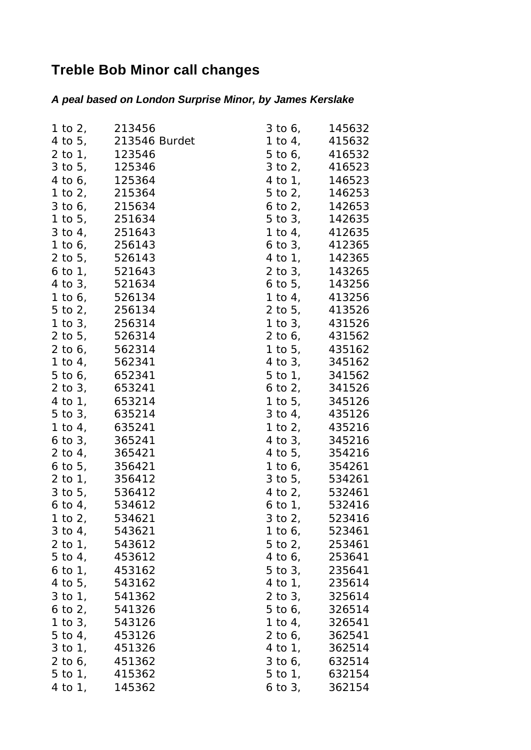## **Treble Bob Minor call changes**

## *A peal based on London Surprise Minor, by James Kerslake*

| 1 to 2, 213456            |                       |              | $3 \text{ to } 6,$ $145632$ |
|---------------------------|-----------------------|--------------|-----------------------------|
|                           | 4 to 5, 213546 Burdet |              | 1 to 4, $415632$            |
| 2 to 1, 123546            |                       | $5$ to $6$ , | 416532                      |
|                           | 3 to 5, 125346        | $3$ to $2$ , | 416523                      |
|                           | 4 to 6, 125364        |              | 4 to 1, 146523              |
|                           | 1 to 2, 215364        |              | 5 to 2, 146253              |
| 3 to 6, 215634            |                       |              | 6 to 2, 142653              |
| 1 to 5, 251634            |                       |              | 5 to 3, 142635              |
|                           | 3 to 4, 251643        | 1 to 4,      | 412635                      |
|                           | 1 to 6, 256143        |              | 6 to 3, 412365              |
|                           | 2 to 5, 526143        |              | 4 to 1, 142365              |
| 6 to 1, 521643            |                       |              | 2 to 3, 143265              |
| 4 to 3, 521634            |                       |              | 6 to 5, 143256              |
| 1 to 6, 526134            |                       |              | 1 to 4, 413256              |
| 5 to 2, 256134            |                       |              | 2 to 5, 413526              |
| 1 to 3, 256314            |                       | $1$ to $3$ , | 431526                      |
| 2 to 5, 526314            |                       |              | 2 to 6, 431562              |
|                           | 2 to 6, 562314        |              | 1 to 5, 435162              |
|                           | 1 to 4, 562341        |              | 4 to 3, 345162              |
|                           | 5 to 6, 652341        |              | 5 to 1, 341562              |
| $2$ to $3$ ,              | 653241                |              | 6 to 2, $341526$            |
| 4 to 1, 653214            |                       | $1$ to $5$ , | 345126                      |
| 5 to 3, 635214            |                       | $3$ to $4$ , | 435126                      |
| 1 to 4, 635241            |                       |              | 1 to 2, 435216              |
| $6$ to $3$ ,              | 365241                | $4$ to $3$ , | 345216                      |
| 2 to 4, 365421            |                       |              | 4 to 5, 354216              |
| 6 to 5, 356421            |                       |              | 1 to 6, 354261              |
| 2 to 1, 356412            |                       |              | 3 to 5, 534261              |
| 3 to 5, 536412            |                       |              | 4 to 2, 532461              |
| 6 to 4,                   | 534612                |              | $6 \text{ to } 1,$ $532416$ |
| 1 to $2i$                 | 534621                | $3$ to $2$ , | 523416                      |
| $3 \text{ to } 4, 543621$ |                       | 1 to 6,      | 523461                      |
| 2 to 1,                   | 543612                | 5 to 2,      | 253461                      |
| 5 to 4,                   | 453612                | 4 to 6,      | 253641                      |
| 6 to 1, $453162$          |                       | $5$ to $3$ , | 235641                      |
| 4 to 5, 543162            |                       | 4 to 1,      | 235614                      |
| $3$ to $1$ ,              | 541362                | $2$ to $3$ , | 325614                      |
| 6 to 2, $541326$          |                       | 5 to 6,      | 326514                      |
| 1 to $3$ ,                | 543126                | 1 to 4,      | 326541                      |
| 5 to 4, 453126            |                       |              | 2 to 6, 362541              |
| 3 to 1,                   | 451326                | 4 to 1,      | 362514                      |
| 2 to $61$                 | 451362                | 3 to 6,      | 632514                      |
| $5$ to $1$ ,              | 415362                | 5 to 1,      | 632154                      |
| 4 to 1,                   | 145362                | $6$ to $3,$  | 362154                      |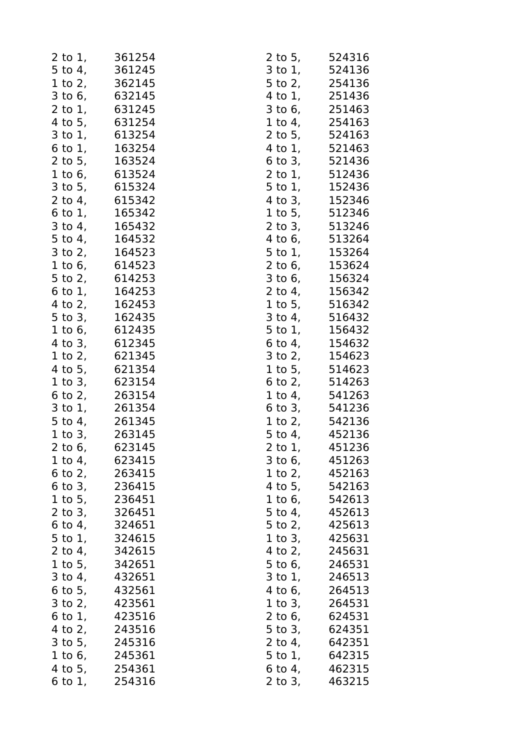|              | 2 to 1, 361254              |                | $2$ to 5, 524316                 |
|--------------|-----------------------------|----------------|----------------------------------|
|              | 5 to 4, 361245              |                | $3 \text{ to } 1,$ $524136$      |
|              | 1 to 2, 362145              |                | 5 to 2, 254136                   |
|              | 3 to 6, 632145              |                | 4 to 1, 251436                   |
| $2$ to $1$ , | 631245                      | $3$ to $6$ ,   | 251463                           |
|              | 4 to 5, 631254              |                | 1 to 4, 254163                   |
|              | 3 to 1, 613254              |                | 2 to 5, 524163                   |
| $6$ to $1$ , | 163254                      |                | 4 to 1, 521463                   |
|              | 2 to 5, 163524              |                | 6 to 3, 521436                   |
|              | 1 to 6, 613524              |                | 2 to 1, 512436                   |
|              | 3 to 5, 615324              |                | 5 to 1, 152436                   |
|              | 2 to 4, 615342              |                | 4 to 3, 152346                   |
|              | 6 to 1, 165342              |                | 1 to 5, 512346                   |
|              | 3 to 4, 165432              |                | 2 to 3, 513246                   |
|              | 5 to 4, 164532              |                | 4 to 6, 513264                   |
|              | 3 to 2, 164523              |                | 5 to 1, 153264                   |
|              | 1 to 6, 614523              |                | 2 to 6, 153624                   |
|              | 5 to 2, 614253              |                | 3 to 6, 156324                   |
|              | $6 \text{ to } 1,$ $164253$ |                | 2 to 4, 156342                   |
|              | 4 to 2, 162453              |                | 1 to 5, 516342                   |
|              | 5 to 3, 162435              |                | 3 to 4, 516432                   |
|              | 1 to 6, 612435              |                | 5 to 1, 156432                   |
|              | 4 to 3, 612345              |                | $6 \text{ to } 4,$ 154632        |
|              | 1 to 2, 621345              |                | $3 \text{ to } 2,$ 154623        |
|              | 4 to 5, 621354              |                | 1 to 5, 514623                   |
|              | 1 to 3, 623154              |                | 6 to 2, $514263$                 |
|              | 6 to 2, 263154              |                | 1 to 4, 541263                   |
|              | 3 to 1, 261354              |                | 6 to 3, 541236                   |
|              | 5 to 4, 261345              |                | 1 to 2, 542136                   |
|              | 1 to 3, 263145              |                | 5 to 4, 452136                   |
| $2$ to $6$ , | 623145                      | 2 to 1,        | 451236                           |
|              | 1 to 4, $623415$            |                | $3 \text{ to } 6, \qquad 451263$ |
|              | 6 to 2, 263415              |                | 1 to 2, $452163$                 |
|              | 6 to 3, $236415$            |                | 4 to 5, 542163                   |
| $1$ to $5$ , | 236451                      | 1 to $6,$      | 542613                           |
|              | 2 to 3, 326451              |                | 5 to 4, 452613                   |
|              | 6 to 4, $324651$            | $5$ to $2$ ,   | 425613                           |
| $5$ to $1$ , | 324615                      |                | 1 to 3, 425631                   |
|              | 2 to 4, $342615$            | 4 to 2,        | 245631                           |
|              | 1 to 5, 342651              | 5 to 6, 246531 |                                  |
|              | 3 to 4, 432651              |                | 3 to 1, 246513                   |
| $6$ to $5$ , | 432561                      | $4$ to $6$ ,   | 264513                           |
|              | 3 to 2, 423561              | 1 to 3, 264531 |                                  |
| 6 to 1,      | 423516                      | 2 to 6,        | 624531                           |
|              | 4 to 2, 243516              | 5 to 3, 624351 |                                  |
|              | 3 to 5, 245316              | 2 to 4, 642351 |                                  |
|              | 1 to 6, $245361$            | 5 to 1, 642315 |                                  |
|              | 4 to 5, 254361              | 6 to 4,        | 462315                           |
| 6 to 1,      | 254316                      | 2 to 3,        | 463215                           |
|              |                             |                |                                  |